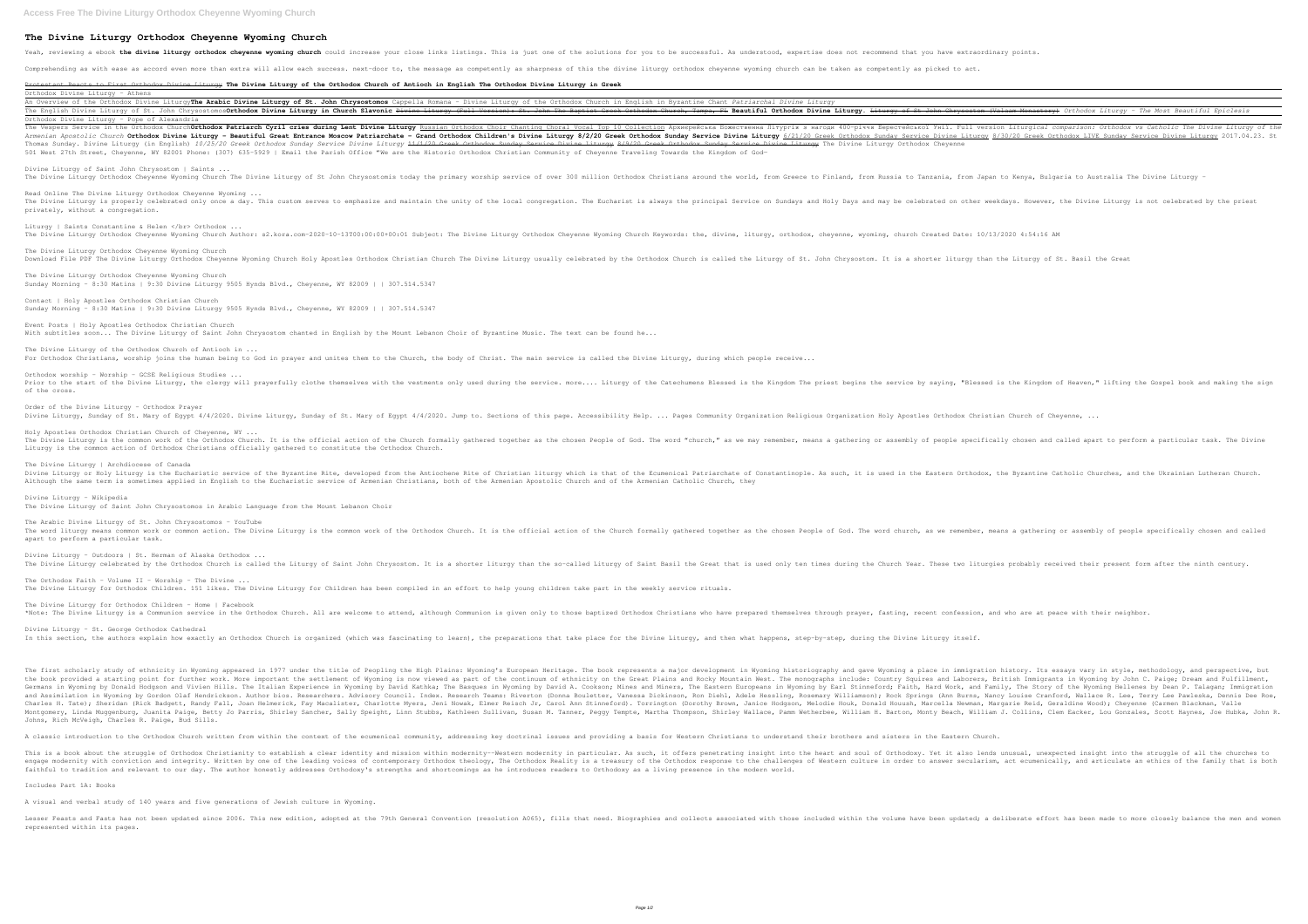## **The Divine Liturgy Orthodox Cheyenne Wyoming Church**

Yeah, reviewing a ebook the divine liturgy orthodox cheyenne wyoming church could increase your close links listings. This is just one of the solutions for you to be successful. As understood, expertise does not recommend

Comprehending as with ease as accord even more than extra will allow each success. next-door to, the message as competently as sharpness of this the divine liturgy orthodox cheyenne wyoming church can be taken as competent

Orthodox Divine Liturgy - Athens An Overview of the Orthodox Divine LiturgyThe Arabic Divine Liturgy of St. John Chrysostomos Cappella Romana - Divine Li

Orthodox Divine Liturgy - Pope of Alexandria The Vespers Service in the Orthodox Church**Orthodox Patriarch Cyril cries during Lent Divine Liturgy <u>Russian Orthodox Choir Chanting Choral Vocal Top 10 Collection</u> Apxuepeйcька Boxecтвенна Jirypris з нагоди 400-piччя Be** Armenian Apostolic Church Orthodox Divine Liturgy - Beautiful Great Entrance Moscow Patriarchate - Grand Orthodox Sunday Service Divine Liturgy 8/2/20 Greek Orthodox Sunday Service Divine Liturgy 8/30/20 Greek Orthodox LIV Thomas Sunday. Divine Liturgy (in English) 10/25/20 Greek Orthodox Sunday Service Divine Liturgy 41/1/20 Greek Orthodox Sunday Service Divine Service Divine Liturgy The Divine Liturgy Orthodox Cheyenne 501 West 27th Street, Cheyenne, WY 82001 Phone: (307) 635-5929 | Email the Parish Office "We are the Historic Orthodox Christian Community of Cheyenne Traveling Towards the Kingdom of God-

# Protestant Reacts to First Orthodox Divine Liturgy **The Divine Liturgy of the Orthodox Church of Antioch in English The Orthodox Divine Liturgy in Greek**

| An Overview of the Orthodox Divine Liturgy <b>The Arabic Divine Liturgy of St. John Chrysostomos</b> Cappella Romana - Divine Liturgy of the Orthodox Church in English in Byzantine Chant Patriarchal Divine Liturgy                                         |
|---------------------------------------------------------------------------------------------------------------------------------------------------------------------------------------------------------------------------------------------------------------|
| The English Divine Liturgy of St. John Chrysostomos <b>Orthodox Divine Liturgy in Church Slavonic</b> <del>Divine Liturgy (Full Version): St. John The Baptist Greek Orthodox Church, Tampa, FL <b>Beautiful Orthodox Divine Liturgy</b>. <del>Li</del></del> |
| Orthodox Divine Liturgy - Pope of Alexandria                                                                                                                                                                                                                  |

The Divine Liturgy Orthodox Cheyenne Wyoming Church Author: s2.kora.com-2020-10-13T00:00:00+00:01 Subject: The Divine Liturgy Orthodox Cheyenne Wyoming Church Keywords: the, divine, liturgy, orthodox, cheyenne, wyoming, ch

### For Orthodox Christians, worship joins the human being to God in prayer and unites them to the Church, the body of Christ. The main service is called the Divine Liturgy, during which people receive...

Divine Liturgy of Saint John Chrysostom | Saints ... The Divine Liturgy Orthodox Cheyenne Wyoming Church The Divine Liturgy of St John Chrysostomis today the primary worship service of over 300 million Orthodox Christians around the world, from Russia to Tanzania, from Japan

### Read Online The Divine Liturgy Orthodox Cheyenne Wyoming ...

The Divine Liturgy is properly celebrated only once a day. This custom serves to emphasize and maintain the unity of the local congregation. The Eucharist is always and may be celebrated on other weekdays. However, the Div privately, without a congregation.

# Liturgy | Saints Constantine & Helen </br> Orthodox ...

Prior to the start of the Divine Liturgy, the clergy will prayerfully clothe themselves with the vestments only used during the service by saying, "Blessed is the Kingdom of Heaven," lifting the Gospel book and making the of the cross.

The Divine Liturgy Orthodox Cheyenne Wyoming Church

Download File PDF The Divine Liturgy Orthodox Cheyenne Wyoming Church Holy Apostles Orthodox Christian Church The Divine Liturgy usually celebrated by the Orthodox Church is called the Liturgy of St. John Chrysostom. It is

The Orthodox Faith - Volume II - Worship - The Divine  $\ldots$ The Divine Liturgy for Orthodox Children. 151 likes. The Divine Liturgy for Children has been compiled in an effort to help young children take part in the weekly service rituals.

## The Divine Liturgy for Orthodox Children - Home | Facebook

\*Note: The Divine Liturqy is a Communion service in the Orthodox Church. All are welcome to attend, although Communion is given only to those baptized Orthodox Christians who have prepared themselves through prayer, fastin

The Divine Liturgy Orthodox Cheyenne Wyoming Church Sunday Morning - 8:30 Matins | 9:30 Divine Liturgy 9505 Hynds Blvd., Cheyenne, WY 82009 | | 307.514.5347

Divine Liturgy – St. George Orthodox Cathedral In this section, the authors explain how exactly an Orthodox Church is organized (which was fascinating to learn), the preparations that take place for the Divine Liturgy, and then what happens, step-by-step, during the Di

#### Contact | Holy Apostles Orthodox Christian Church

Sunday Morning - 8:30 Matins | 9:30 Divine Liturgy 9505 Hynds Blvd., Cheyenne, WY 82009 | | 307.514.5347

Event Posts | Holy Apostles Orthodox Christian Church

With subtitles soon... The Divine Liturgy of Saint John Chrysostom chanted in English by the Mount Lebanon Choir of Byzantine Music. The text can be found he...

# The Divine Liturgy of the Orthodox Church of Antioch in ...

Orthodox worship - Worship - GCSE Religious Studies ...

The first scholarly study of ethnicity in Wyoming appeared in 1977 under the title of Peopling the High Plains: Wyoming's European Heritage. The book represents a major development in Wyoming a place in immigration history the book provided a starting point for further work. More important the settlement of Wyoming is now viewed as part of the continuum of ethnicity on the Great Plains and Rocky Mountain West. The monographs include: Country Germans in Wyoming by Donald Hodgson and Vivien Hills. The Italian Experience in Wyoming by David Kathka; The Basques in Wyoming by David A. Cookson; Mines and Miners, The Aasques in Wyoming by David A. Cookson; Mines and and Assimilation in Wyoming by Gordon Olaf Hendrickson. Author bios. Researchers. Advisory Council. Index. Research Teams: Riverton (Donna Bouletter, Vanessa Dickinson, Ron Diehl, Adele Hessling, Rock Springs (Ann Burns, N Charles H. Tate); Sheridan (Rick Badgett, Randy Fall, Joan Helmerick, Fay Macalister, Charlotte Myers, Jeni Nowak, Elmer Reisch Jr, Carol Ann Stinneford). Torrington (Dorothy Brown, Janice Hodgson, Melodie Houk, Donald Hou Montgomery, Linda Muggenburg, Juanita Paige, Betty Jo Parris, Shirley Sancher, Sally Speight, Linn Stubbs, Kathleen Sullivan, Susan M. Tanner, Peggy Tempte, Martha Thompson, Shirley Wallace, Pamm Wetherbee, William J. Coll Johns, Rich McVeigh, Charles R. Paige, Bud Sills.

#### Order of the Divine Liturgy - Orthodox Prayer

A classic introduction to the Orthodox Church written from within the context of the ecumenical community, addressing key doctrinal issues and providing a basis for Western Christians to understand their brothers and siste

Divine Liturgy, Sunday of St. Mary of Egypt 4/4/2020. Divine Liturgy, Sunday of St. Mary of Egypt 4/4/2020. Jump to. Sections of this page. Accessibility Help. ... Pages Community Organization Religious Organization Holy A

Holy Apostles Orthodox Christian Church of Cheyenne, WY ... The Divine Liturgy is the common work of the Orthodox Church. It is the official action of the Church formally gathered together as the chosen People specifically chosen and called apart to perform a particular task. The D Liturgy is the common action of Orthodox Christians officially gathered to constitute the Orthodox Church.

This is a book about the struggle of Orthodox Christianity to establish a clear identity and mission within modernity--Western modernity in particular. As such, it offers penetrating insight into the such, it offers penetr engage modernity with conviction and integrity. Written by one of the leading voices of contemporary Orthodox theology, The Orthodox Reality is a treasury of the Orthodox response to the challenges of Western culture in or faithful to tradition and relevant to our day. The author honestly addresses Orthodoxy's strengths and shortcomings as he introduces readers to Orthodoxy as a living presence in the modern world.

### The Divine Liturgy | Archdiocese of Canada

Divine Liturgy or Holy Liturgy is the Eucharistic service of the Byzantine Rite, developed from the Antiochene Rite of Christian liturgy which is that of the Ecumenical Patriarchate of Constantinople. As such, it is used i Although the same term is sometimes applied in English to the Eucharistic service of Armenian Christians, both of the Armenian Apostolic Church and of the Armenian Catholic Church, they

Lesser Feasts and Fasts has not been updated since 2006. This new edition, adopted at the 79th General Convention (resolution A065), fills that need. Biographies and collects associated within the volume have been updated; represented within its pages.

#### Divine Liturgy - Wikipedia The Divine Liturgy of Saint John Chrysostomos in Arabic Language from the Mount Lebanon Choir

The Arabic Divine Liturgy of St. John Chrysostomos - YouTube The word liturgy means common work or common action. The Divine Liturgy is the common work of the Orthodox Church. It is the official action of the Church formally gathered together as the chosen People of God. The word ch apart to perform a particular task.

#### Divine Liturgy – Outdoors | St. Herman of Alaska Orthodox ...

The Divine Liturgy celebrated by the Orthodox Church is called the Liturgy of Saint John Chrysostom. It is a shorter liturgy than the so-called Liturgy of Saint Basil the Great that is used only ten times during the Church

#### Includes Part 1A: Books

A visual and verbal study of 140 years and five generations of Jewish culture in Wyoming.